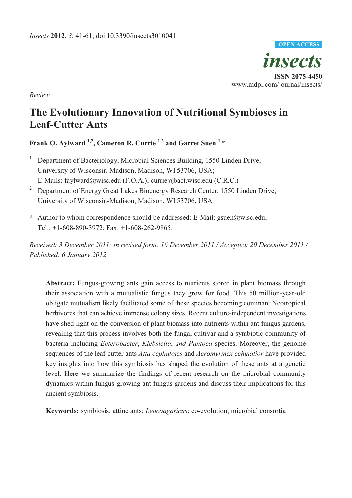

*Review* 

# **The Evolutionary Innovation of Nutritional Symbioses in Leaf-Cutter Ants**

**Frank O. Aylward 1,2, Cameron R. Currie 1,2 and Garret Suen 1,\***

- 1 Department of Bacteriology, Microbial Sciences Building, 1550 Linden Drive, University of Wisconsin-Madison, Madison, WI 53706, USA; E-Mails: faylward@wisc.edu (F.O.A.); currie@bact.wisc.edu (C.R.C.)
- 2 Department of Energy Great Lakes Bioenergy Research Center, 1550 Linden Drive, University of Wisconsin-Madison, Madison, WI 53706, USA
- **\*** Author to whom correspondence should be addressed: E-Mail: gsuen@wisc.edu; Tel.: +1-608-890-3972; Fax: +1-608-262-9865.

*Received: 3 December 2011; in revised form: 16 December 2011 / Accepted: 20 December 2011 / Published: 6 January 2012* 

**Abstract:** Fungus-growing ants gain access to nutrients stored in plant biomass through their association with a mutualistic fungus they grow for food. This 50 million-year-old obligate mutualism likely facilitated some of these species becoming dominant Neotropical herbivores that can achieve immense colony sizes. Recent culture-independent investigations have shed light on the conversion of plant biomass into nutrients within ant fungus gardens, revealing that this process involves both the fungal cultivar and a symbiotic community of bacteria including *Enterobacter*, *Klebsiella*, *and Pantoea* species. Moreover, the genome sequences of the leaf-cutter ants *Atta cephalotes* and *Acromyrmex echinatior* have provided key insights into how this symbiosis has shaped the evolution of these ants at a genetic level. Here we summarize the findings of recent research on the microbial community dynamics within fungus-growing ant fungus gardens and discuss their implications for this ancient symbiosis.

**Keywords:** symbiosis; attine ants; *Leucoagaricus*; co-evolution; microbial consortia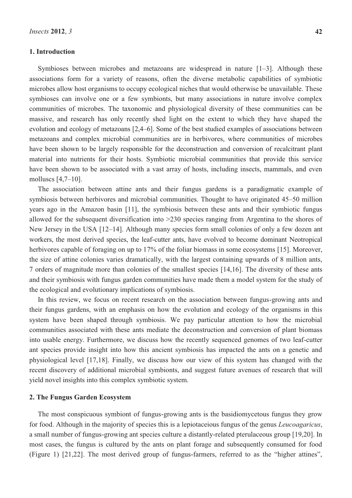## **1. Introduction**

Symbioses between microbes and metazoans are widespread in nature [1–3]. Although these associations form for a variety of reasons, often the diverse metabolic capabilities of symbiotic microbes allow host organisms to occupy ecological niches that would otherwise be unavailable. These symbioses can involve one or a few symbionts, but many associations in nature involve complex communities of microbes. The taxonomic and physiological diversity of these communities can be massive, and research has only recently shed light on the extent to which they have shaped the evolution and ecology of metazoans [2,4–6]. Some of the best studied examples of associations between metazoans and complex microbial communities are in herbivores, where communities of microbes have been shown to be largely responsible for the deconstruction and conversion of recalcitrant plant material into nutrients for their hosts. Symbiotic microbial communities that provide this service have been shown to be associated with a vast array of hosts, including insects, mammals, and even molluscs [4,7–10].

The association between attine ants and their fungus gardens is a paradigmatic example of symbiosis between herbivores and microbial communities. Thought to have originated 45–50 million years ago in the Amazon basin [11], the symbiosis between these ants and their symbiotic fungus allowed for the subsequent diversification into >230 species ranging from Argentina to the shores of New Jersey in the USA [12–14]. Although many species form small colonies of only a few dozen ant workers, the most derived species, the leaf-cutter ants, have evolved to become dominant Neotropical herbivores capable of foraging on up to 17% of the foliar biomass in some ecosystems [15]. Moreover, the size of attine colonies varies dramatically, with the largest containing upwards of 8 million ants, 7 orders of magnitude more than colonies of the smallest species [14,16]. The diversity of these ants and their symbiosis with fungus garden communities have made them a model system for the study of the ecological and evolutionary implications of symbiosis.

In this review, we focus on recent research on the association between fungus-growing ants and their fungus gardens, with an emphasis on how the evolution and ecology of the organisms in this system have been shaped through symbiosis. We pay particular attention to how the microbial communities associated with these ants mediate the deconstruction and conversion of plant biomass into usable energy. Furthermore, we discuss how the recently sequenced genomes of two leaf-cutter ant species provide insight into how this ancient symbiosis has impacted the ants on a genetic and physiological level [17,18]. Finally, we discuss how our view of this system has changed with the recent discovery of additional microbial symbionts, and suggest future avenues of research that will yield novel insights into this complex symbiotic system.

## **2. The Fungus Garden Ecosystem**

The most conspicuous symbiont of fungus-growing ants is the basidiomycetous fungus they grow for food. Although in the majority of species this is a lepiotaceious fungus of the genus *Leucoagaricus*, a small number of fungus-growing ant species culture a distantly-related pterulaceous group [19,20]. In most cases, the fungus is cultured by the ants on plant forage and subsequently consumed for food (Figure 1) [21,22]. The most derived group of fungus-farmers, referred to as the "higher attines",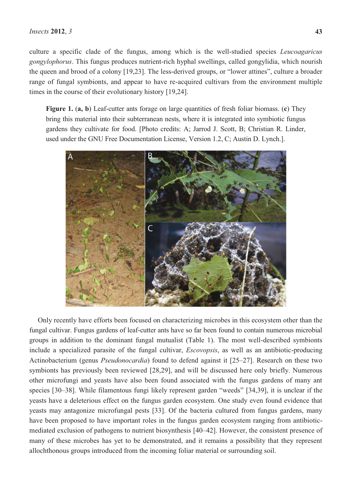culture a specific clade of the fungus, among which is the well-studied species *Leucoagaricus gongylophorus*. This fungus produces nutrient-rich hyphal swellings, called gongylidia, which nourish the queen and brood of a colony [19,23]. The less-derived groups, or "lower attines", culture a broader range of fungal symbionts, and appear to have re-acquired cultivars from the environment multiple times in the course of their evolutionary history [19,24].

**Figure 1.** (**a, b**) Leaf-cutter ants forage on large quantities of fresh foliar biomass. (**c**) They bring this material into their subterranean nests, where it is integrated into symbiotic fungus gardens they cultivate for food. [Photo credits: A; Jarrod J. Scott, B; Christian R. Linder, used under the GNU Free Documentation License, Version 1.2, C; Austin D. Lynch.].



Only recently have efforts been focused on characterizing microbes in this ecosystem other than the fungal cultivar. Fungus gardens of leaf-cutter ants have so far been found to contain numerous microbial groups in addition to the dominant fungal mutualist (Table 1). The most well-described symbionts include a specialized parasite of the fungal cultivar, *Escovopsis*, as well as an antibiotic-producing Actinobacterium (genus *Pseudonocardia*) found to defend against it [25–27]. Research on these two symbionts has previously been reviewed [28,29], and will be discussed here only briefly. Numerous other microfungi and yeasts have also been found associated with the fungus gardens of many ant species [30–38]. While filamentous fungi likely represent garden "weeds" [34,39], it is unclear if the yeasts have a deleterious effect on the fungus garden ecosystem. One study even found evidence that yeasts may antagonize microfungal pests [33]. Of the bacteria cultured from fungus gardens, many have been proposed to have important roles in the fungus garden ecosystem ranging from antibioticmediated exclusion of pathogens to nutrient biosynthesis [40–42]. However, the consistent presence of many of these microbes has yet to be demonstrated, and it remains a possibility that they represent allochthonous groups introduced from the incoming foliar material or surrounding soil.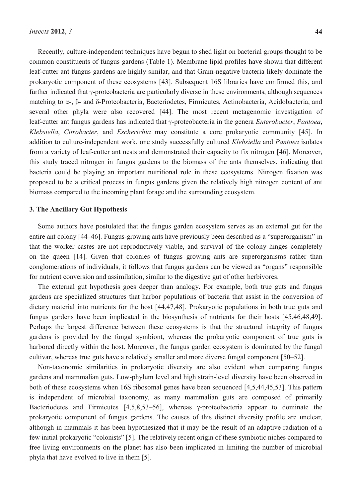Recently, culture-independent techniques have begun to shed light on bacterial groups thought to be common constituents of fungus gardens (Table 1). Membrane lipid profiles have shown that different leaf-cutter ant fungus gardens are highly similar, and that Gram-negative bacteria likely dominate the prokaryotic component of these ecosystems [43]. Subsequent 16S libraries have confirmed this, and further indicated that γ-proteobacteria are particularly diverse in these environments, although sequences matching to α-, β- and δ-Proteobacteria, Bacteriodetes, Firmicutes, Actinobacteria, Acidobacteria, and several other phyla were also recovered [44]. The most recent metagenomic investigation of leaf-cutter ant fungus gardens has indicated that γ-proteobacteria in the genera *Enterobacter*, *Pantoea*, *Klebsiella*, *Citrobacter*, and *Escherichia* may constitute a core prokaryotic community [45]. In addition to culture-independent work, one study successfully cultured *Klebsiella* and *Pantoea* isolates from a variety of leaf-cutter ant nests and demonstrated their capacity to fix nitrogen [46]. Moreover, this study traced nitrogen in fungus gardens to the biomass of the ants themselves, indicating that bacteria could be playing an important nutritional role in these ecosystems. Nitrogen fixation was

# **3. The Ancillary Gut Hypothesis**

Some authors have postulated that the fungus garden ecosystem serves as an external gut for the entire ant colony [44–46]. Fungus-growing ants have previously been described as a "superorganism" in that the worker castes are not reproductively viable, and survival of the colony hinges completely on the queen [14]. Given that colonies of fungus growing ants are superorganisms rather than conglomerations of individuals, it follows that fungus gardens can be viewed as "organs" responsible for nutrient conversion and assimilation, similar to the digestive gut of other herbivores.

proposed to be a critical process in fungus gardens given the relatively high nitrogen content of ant

biomass compared to the incoming plant forage and the surrounding ecosystem.

The external gut hypothesis goes deeper than analogy. For example, both true guts and fungus gardens are specialized structures that harbor populations of bacteria that assist in the conversion of dietary material into nutrients for the host [44,47,48]. Prokaryotic populations in both true guts and fungus gardens have been implicated in the biosynthesis of nutrients for their hosts [45,46,48,49]. Perhaps the largest difference between these ecosystems is that the structural integrity of fungus gardens is provided by the fungal symbiont, whereas the prokaryotic component of true guts is harbored directly within the host. Moreover, the fungus garden ecosystem is dominated by the fungal cultivar, whereas true guts have a relatively smaller and more diverse fungal component [50–52].

Non-taxonomic similarities in prokaryotic diversity are also evident when comparing fungus gardens and mammalian guts. Low-phylum level and high strain-level diversity have been observed in both of these ecosystems when 16S ribosomal genes have been sequenced [4,5,44,45,53]. This pattern is independent of microbial taxonomy, as many mammalian guts are composed of primarily Bacteriodetes and Firmicutes [4,5,8,53–56], whereas γ-proteobacteria appear to dominate the prokaryotic component of fungus gardens. The causes of this distinct diversity profile are unclear, although in mammals it has been hypothesized that it may be the result of an adaptive radiation of a few initial prokaryotic "colonists" [5]. The relatively recent origin of these symbiotic niches compared to free living environments on the planet has also been implicated in limiting the number of microbial phyla that have evolved to live in them [5].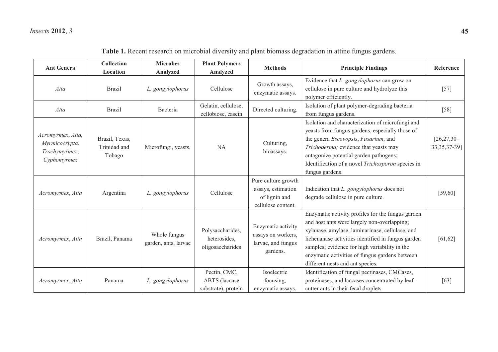| <b>Ant Genera</b>                                                   | <b>Collection</b><br>Location            | <b>Microbes</b><br>Analyzed          | <b>Plant Polymers</b><br>Analyzed                           | <b>Methods</b>                                                                   | <b>Principle Findings</b>                                                                                                                                                                                                                                                                                                                        | Reference                        |
|---------------------------------------------------------------------|------------------------------------------|--------------------------------------|-------------------------------------------------------------|----------------------------------------------------------------------------------|--------------------------------------------------------------------------------------------------------------------------------------------------------------------------------------------------------------------------------------------------------------------------------------------------------------------------------------------------|----------------------------------|
| Atta                                                                | <b>Brazil</b>                            | L. gongylophorus                     | Cellulose                                                   | Growth assays,<br>enzymatic assays.                                              | Evidence that L. gongylophorus can grow on<br>cellulose in pure culture and hydrolyze this<br>polymer efficiently.                                                                                                                                                                                                                               | $[57]$                           |
| Atta                                                                | <b>Brazil</b>                            | Bacteria                             | Gelatin, cellulose,<br>cellobiose, casein                   | Directed culturing.                                                              | Isolation of plant polymer-degrading bacteria<br>from fungus gardens.                                                                                                                                                                                                                                                                            | $[58]$                           |
| Acromyrmex, Atta,<br>Myrmicocrypta,<br>Trachymyrmex,<br>Cyphomyrmex | Brazil, Texas,<br>Trinidad and<br>Tobago | Microfungi, yeasts,                  | <b>NA</b>                                                   | Culturing,<br>bioassays.                                                         | Isolation and characterization of microfungi and<br>yeasts from fungus gardens, especially those of<br>the genera Escovopsis, Fusarium, and<br>Trichoderma; evidence that yeasts may<br>antagonize potential garden pathogens;<br>Identification of a novel Trichosporon species in<br>fungus gardens.                                           | $[26, 27, 30-$<br>33, 35, 37-39] |
| Acromyrmex, Atta                                                    | Argentina                                | L. gongylophorus                     | Cellulose                                                   | Pure culture growth<br>assays, estimation<br>of lignin and<br>cellulose content. | Indication that L. gongylophorus does not<br>degrade cellulose in pure culture.                                                                                                                                                                                                                                                                  | [59, 60]                         |
| Acromyrmex, Atta                                                    | Brazil, Panama                           | Whole fungus<br>garden, ants, larvae | Polysaccharides,<br>heterosides,<br>oligosaccharides        | Enzymatic activity<br>assays on workers,<br>larvae, and fungus<br>gardens.       | Enzymatic activity profiles for the fungus garden<br>and host ants were largely non-overlapping;<br>xylanase, amylase, laminarinase, cellulase, and<br>lichenanase activities identified in fungus garden<br>samples; evidence for high variability in the<br>enzymatic activities of fungus gardens between<br>different nests and ant species. | [61, 62]                         |
| Acromyrmex, Atta                                                    | Panama                                   | L. gongylophorus                     | Pectin, CMC,<br><b>ABTS</b> (laccase<br>substrate), protein | Isoelectric<br>focusing,<br>enzymatic assays.                                    | Identification of fungal pectinases, CMCases,<br>proteinases, and laccases concentrated by leaf-<br>cutter ants in their fecal droplets.                                                                                                                                                                                                         | [63]                             |

**Table 1.** Recent research on microbial diversity and plant biomass degradation in attine fungus gardens.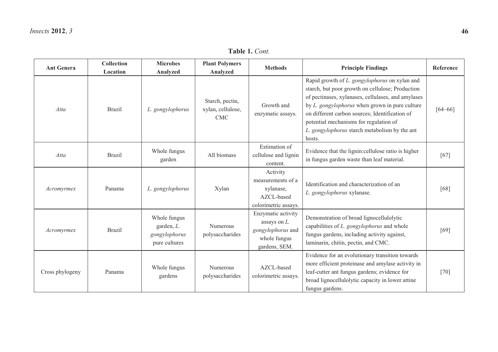| <b>Ant Genera</b> | Collection<br>Location | <b>Microbes</b><br>Analyzed                                  | <b>Plant Polymers</b><br>Analyzed           | <b>Methods</b>                                                                              | <b>Principle Findings</b>                                                                                                                                                                                                                                                                                                                                        | Reference   |
|-------------------|------------------------|--------------------------------------------------------------|---------------------------------------------|---------------------------------------------------------------------------------------------|------------------------------------------------------------------------------------------------------------------------------------------------------------------------------------------------------------------------------------------------------------------------------------------------------------------------------------------------------------------|-------------|
| Atta              | <b>Brazil</b>          | L. gongylophorus                                             | Starch, pectin,<br>xylan, cellulose,<br>CMC | Growth and<br>enzymatic assays.                                                             | Rapid growth of L. gongylophorus on xylan and<br>starch, but poor growth on cellulose; Production<br>of pectinases, xylanases, cellulases, and amylases<br>by L. gongylophorus when grown in pure culture<br>on different carbon sources; Identification of<br>potential mechanisms for regulation of<br>L. gongylophorus starch metabolism by the ant<br>hosts. | $[64 - 66]$ |
| Atta              | <b>Brazil</b>          | Whole fungus<br>garden                                       | All biomass                                 | Estimation of<br>cellulose and lignin<br>content.                                           | Evidence that the lignin:cellulose ratio is higher<br>in fungus garden waste than leaf material.                                                                                                                                                                                                                                                                 | [67]        |
| Acromyrmex        | Panama                 | L. gongylophorus                                             | Xylan                                       | Activity<br>measurements of a<br>xylanase,<br>AZCL-based<br>colorimetric assays.            | Identification and characterization of an<br>L. gongylophorus xylanase.                                                                                                                                                                                                                                                                                          | [68]        |
| Acromyrmex        | <b>Brazil</b>          | Whole fungus<br>garden, L.<br>gongylophorus<br>pure cultures | Numerous<br>polysaccharides                 | Enzymatic activity<br>assays on $L$ .<br>gongylophorus and<br>whole fungus<br>gardens, SEM. | Demonstration of broad lignocellulolytic<br>capabilities of L. gongylophorus and whole<br>fungus gardens, including activity against,<br>laminarin, chitin, pectin, and CMC.                                                                                                                                                                                     | [69]        |
| Cross phylogeny   | Panama                 | Whole fungus<br>gardens                                      | <b>Numerous</b><br>polysaccharides          | AZCL-based<br>colorimetric assays.                                                          | Evidence for an evolutionary transition towards<br>more efficient proteinase and amylase activity in<br>leaf-cutter ant fungus gardens; evidence for<br>broad lignocellulolytic capacity in lower attine<br>fungus gardens.                                                                                                                                      | $[70]$      |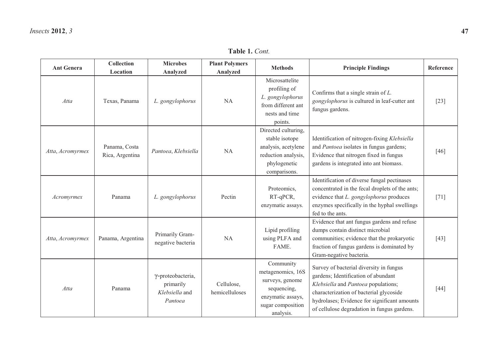| <b>Ant Genera</b> | <b>Collection</b><br>Location    | <b>Microbes</b><br>Analyzed                                 | <b>Plant Polymers</b><br>Analyzed | <b>Methods</b>                                                                                                          | <b>Principle Findings</b>                                                                                                                                                                                                                                       | Reference |
|-------------------|----------------------------------|-------------------------------------------------------------|-----------------------------------|-------------------------------------------------------------------------------------------------------------------------|-----------------------------------------------------------------------------------------------------------------------------------------------------------------------------------------------------------------------------------------------------------------|-----------|
| Atta              | Texas, Panama                    | L. gongylophorus                                            | <b>NA</b>                         | Microsattelite<br>profiling of<br>L. gongylophorus<br>from different ant<br>nests and time<br>points.                   | Confirms that a single strain of $L$ .<br>gongylophorus is cultured in leaf-cutter ant<br>fungus gardens.                                                                                                                                                       | $[23]$    |
| Atta, Acromyrmex  | Panama, Costa<br>Rica, Argentina | Pantoea, Klebsiella                                         | <b>NA</b>                         | Directed culturing,<br>stable isotope<br>analysis, acetylene<br>reduction analysis,<br>phylogenetic<br>comparisons.     | Identification of nitrogen-fixing Klebsiella<br>and Pantoea isolates in fungus gardens;<br>Evidence that nitrogen fixed in fungus<br>gardens is integrated into ant biomass.                                                                                    | [46]      |
| Acromyrmex        | Panama                           | L. gongylophorus                                            | Pectin                            | Proteomics,<br>RT-qPCR,<br>enzymatic assays.                                                                            | Identification of diverse fungal pectinases<br>concentrated in the fecal droplets of the ants;<br>evidence that L. gongylophorus produces<br>enzymes specifically in the hyphal swellings<br>fed to the ants.                                                   | $[71]$    |
| Atta, Acromyrmex  | Panama, Argentina                | Primarily Gram-<br>negative bacteria                        | <b>NA</b>                         | Lipid profiling<br>using PLFA and<br>FAME.                                                                              | Evidence that ant fungus gardens and refuse<br>dumps contain distinct microbial<br>communities; evidence that the prokaryotic<br>fraction of fungus gardens is dominated by<br>Gram-negative bacteria.                                                          | $[43]$    |
| Atta              | Panama                           | γ-proteobacteria,<br>primarily<br>Klebsiella and<br>Pantoea | Cellulose,<br>hemicelluloses      | Community<br>metagenomics, 16S<br>surveys, genome<br>sequencing,<br>enzymatic assays,<br>sugar composition<br>analysis. | Survey of bacterial diversity in fungus<br>gardens; Identification of abundant<br>Klebsiella and Pantoea populations;<br>characterization of bacterial glycoside<br>hydrolases; Evidence for significant amounts<br>of cellulose degradation in fungus gardens. | $[44]$    |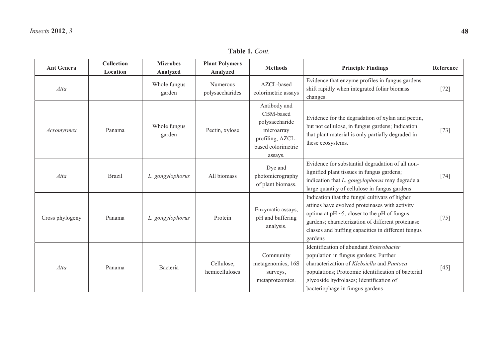| <b>Ant Genera</b> | Collection<br>Location | <b>Microbes</b><br>Analyzed | <b>Plant Polymers</b><br>Analyzed  | <b>Methods</b>                                                                                                 | <b>Principle Findings</b>                                                                                                                                                                                                                                                    | Reference |
|-------------------|------------------------|-----------------------------|------------------------------------|----------------------------------------------------------------------------------------------------------------|------------------------------------------------------------------------------------------------------------------------------------------------------------------------------------------------------------------------------------------------------------------------------|-----------|
| Atta              |                        | Whole fungus<br>garden      | <b>Numerous</b><br>polysaccharides | AZCL-based<br>colorimetric assays                                                                              | Evidence that enzyme profiles in fungus gardens<br>shift rapidly when integrated foliar biomass<br>changes.                                                                                                                                                                  | $[72]$    |
| Acromyrmex        | Panama                 | Whole fungus<br>garden      | Pectin, xylose                     | Antibody and<br>CBM-based<br>polysaccharide<br>microarray<br>profiling, AZCL-<br>based colorimetric<br>assays. | Evidence for the degradation of xylan and pectin,<br>but not cellulose, in fungus gardens; Indication<br>that plant material is only partially degraded in<br>these ecosystems.                                                                                              | $[73]$    |
| Atta              | <b>Brazil</b>          | L. gongylophorus            | All biomass                        | Dye and<br>photomicrography<br>of plant biomass.                                                               | Evidence for substantial degradation of all non-<br>lignified plant tissues in fungus gardens;<br>indication that L. gongylophorus may degrade a<br>large quantity of cellulose in fungus gardens                                                                            | $[74]$    |
| Cross phylogeny   | Panama                 | L. gongylophorus            | Protein                            | Enzymatic assays,<br>pH and buffering<br>analysis.                                                             | Indication that the fungal cultivars of higher<br>attines have evolved proteinases with activity<br>optima at $pH \sim 5$ , closer to the pH of fungus<br>gardens; characterization of different proteinase<br>classes and buffing capacities in different fungus<br>gardens | $[75]$    |
| Atta              | Panama                 | Bacteria                    | Cellulose,<br>hemicelluloses       | Community<br>metagenomics, 16S<br>surveys,<br>metaproteomics.                                                  | Identification of abundant Enterobacter<br>population in fungus gardens; Further<br>characterization of Klebsiella and Pantoea<br>populations; Proteomic identification of bacterial<br>glycoside hydrolases; Identification of<br>bacteriophage in fungus gardens           | $[45]$    |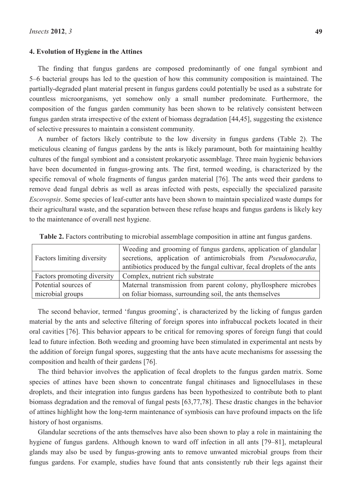#### **4. Evolution of Hygiene in the Attines**

The finding that fungus gardens are composed predominantly of one fungal symbiont and 5–6 bacterial groups has led to the question of how this community composition is maintained. The partially-degraded plant material present in fungus gardens could potentially be used as a substrate for countless microorganisms, yet somehow only a small number predominate. Furthermore, the composition of the fungus garden community has been shown to be relatively consistent between fungus garden strata irrespective of the extent of biomass degradation [44,45], suggesting the existence of selective pressures to maintain a consistent community.

A number of factors likely contribute to the low diversity in fungus gardens (Table 2). The meticulous cleaning of fungus gardens by the ants is likely paramount, both for maintaining healthy cultures of the fungal symbiont and a consistent prokaryotic assemblage. Three main hygienic behaviors have been documented in fungus-growing ants. The first, termed weeding, is characterized by the specific removal of whole fragments of fungus garden material [76]. The ants weed their gardens to remove dead fungal debris as well as areas infected with pests, especially the specialized parasite *Escovopsis*. Some species of leaf-cutter ants have been shown to maintain specialized waste dumps for their agricultural waste, and the separation between these refuse heaps and fungus gardens is likely key to the maintenance of overall nest hygiene.

|                                   | Weeding and grooming of fungus gardens, application of glandular        |
|-----------------------------------|-------------------------------------------------------------------------|
| <b>Factors limiting diversity</b> | secretions, application of antimicrobials from <i>Pseudonocardia</i> ,  |
|                                   | antibiotics produced by the fungal cultivar, fecal droplets of the ants |
| Factors promoting diversity       | Complex, nutrient rich substrate                                        |
| Potential sources of              | Maternal transmission from parent colony, phyllosphere microbes         |
| microbial groups                  | on foliar biomass, surrounding soil, the ants themselves                |

**Table 2.** Factors contributing to microbial assemblage composition in attine ant fungus gardens.

The second behavior, termed 'fungus grooming', is characterized by the licking of fungus garden material by the ants and selective filtering of foreign spores into infrabuccal pockets located in their oral cavities [76]. This behavior appears to be critical for removing spores of foreign fungi that could lead to future infection. Both weeding and grooming have been stimulated in experimental ant nests by the addition of foreign fungal spores, suggesting that the ants have acute mechanisms for assessing the composition and health of their gardens [76].

The third behavior involves the application of fecal droplets to the fungus garden matrix. Some species of attines have been shown to concentrate fungal chitinases and lignocellulases in these droplets, and their integration into fungus gardens has been hypothesized to contribute both to plant biomass degradation and the removal of fungal pests [63,77,78]. These drastic changes in the behavior of attines highlight how the long-term maintenance of symbiosis can have profound impacts on the life history of host organisms.

Glandular secretions of the ants themselves have also been shown to play a role in maintaining the hygiene of fungus gardens. Although known to ward off infection in all ants [79–81], metapleural glands may also be used by fungus-growing ants to remove unwanted microbial groups from their fungus gardens. For example, studies have found that ants consistently rub their legs against their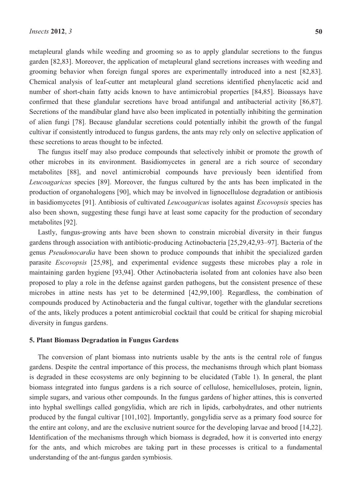metapleural glands while weeding and grooming so as to apply glandular secretions to the fungus garden [82,83]. Moreover, the application of metapleural gland secretions increases with weeding and grooming behavior when foreign fungal spores are experimentally introduced into a nest [82,83]. Chemical analysis of leaf-cutter ant metapleural gland secretions identified phenylacetic acid and number of short-chain fatty acids known to have antimicrobial properties [84,85]. Bioassays have confirmed that these glandular secretions have broad antifungal and antibacterial activity [86,87]. Secretions of the mandibular gland have also been implicated in potentially inhibiting the germination of alien fungi [78]. Because glandular secretions could potentially inhibit the growth of the fungal cultivar if consistently introduced to fungus gardens, the ants may rely only on selective application of these secretions to areas thought to be infected.

The fungus itself may also produce compounds that selectively inhibit or promote the growth of other microbes in its environment. Basidiomycetes in general are a rich source of secondary metabolites [88], and novel antimicrobial compounds have previously been identified from *Leucoagaricus* species [89]. Moreover, the fungus cultured by the ants has been implicated in the production of organohalogens [90], which may be involved in lignocellulose degradation or antibiosis in basidiomycetes [91]. Antibiosis of cultivated *Leucoagaricus* isolates against *Escovopsis* species has also been shown, suggesting these fungi have at least some capacity for the production of secondary metabolites [92].

Lastly, fungus-growing ants have been shown to constrain microbial diversity in their fungus gardens through association with antibiotic-producing Actinobacteria [25,29,42,93–97]. Bacteria of the genus *Pseudonocardia* have been shown to produce compounds that inhibit the specialized garden parasite *Escovopsis* [25,98], and experimental evidence suggests these microbes play a role in maintaining garden hygiene [93,94]. Other Actinobacteria isolated from ant colonies have also been proposed to play a role in the defense against garden pathogens, but the consistent presence of these microbes in attine nests has yet to be determined [42,99,100]. Regardless, the combination of compounds produced by Actinobacteria and the fungal cultivar, together with the glandular secretions of the ants, likely produces a potent antimicrobial cocktail that could be critical for shaping microbial diversity in fungus gardens.

#### **5. Plant Biomass Degradation in Fungus Gardens**

The conversion of plant biomass into nutrients usable by the ants is the central role of fungus gardens. Despite the central importance of this process, the mechanisms through which plant biomass is degraded in these ecosystems are only beginning to be elucidated (Table 1). In general, the plant biomass integrated into fungus gardens is a rich source of cellulose, hemicelluloses, protein, lignin, simple sugars, and various other compounds. In the fungus gardens of higher attines, this is converted into hyphal swellings called gongylidia, which are rich in lipids, carbohydrates, and other nutrients produced by the fungal cultivar [101,102]. Importantly, gongylidia serve as a primary food source for the entire ant colony, and are the exclusive nutrient source for the developing larvae and brood [14,22]. Identification of the mechanisms through which biomass is degraded, how it is converted into energy for the ants, and which microbes are taking part in these processes is critical to a fundamental understanding of the ant-fungus garden symbiosis.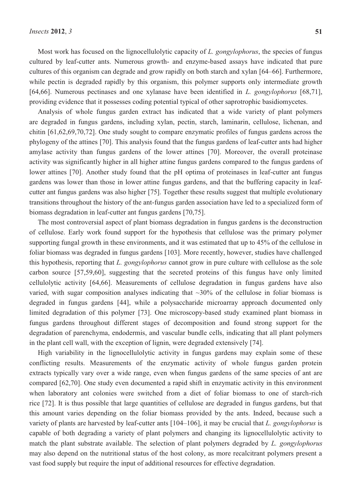Most work has focused on the lignocellulolytic capacity of *L. gongylophorus*, the species of fungus cultured by leaf-cutter ants. Numerous growth- and enzyme-based assays have indicated that pure cultures of this organism can degrade and grow rapidly on both starch and xylan [64–66]. Furthermore, while pectin is degraded rapidly by this organism, this polymer supports only intermediate growth [64,66]. Numerous pectinases and one xylanase have been identified in *L. gongylophorus* [68,71], providing evidence that it possesses coding potential typical of other saprotrophic basidiomycetes.

Analysis of whole fungus garden extract has indicated that a wide variety of plant polymers are degraded in fungus gardens, including xylan, pectin, starch, laminarin, cellulose, lichenan, and chitin [61,62,69,70,72]. One study sought to compare enzymatic profiles of fungus gardens across the phylogeny of the attines [70]. This analysis found that the fungus gardens of leaf-cutter ants had higher amylase activity than fungus gardens of the lower attines [70]. Moreover, the overall proteinase activity was significantly higher in all higher attine fungus gardens compared to the fungus gardens of lower attines [70]. Another study found that the pH optima of proteinases in leaf-cutter ant fungus gardens was lower than those in lower attine fungus gardens, and that the buffering capacity in leafcutter ant fungus gardens was also higher [75]. Together these results suggest that multiple evolutionary transitions throughout the history of the ant-fungus garden association have led to a specialized form of biomass degradation in leaf-cutter ant fungus gardens [70,75].

The most controversial aspect of plant biomass degradation in fungus gardens is the deconstruction of cellulose. Early work found support for the hypothesis that cellulose was the primary polymer supporting fungal growth in these environments, and it was estimated that up to 45% of the cellulose in foliar biomass was degraded in fungus gardens [103]. More recently, however, studies have challenged this hypothesis, reporting that *L. gongylophorus* cannot grow in pure culture with cellulose as the sole carbon source [57,59,60], suggesting that the secreted proteins of this fungus have only limited cellulolytic activity [64,66]. Measurements of cellulose degradation in fungus gardens have also varied, with sugar composition analyses indicating that  $\sim$ 30% of the cellulose in foliar biomass is degraded in fungus gardens [44], while a polysaccharide microarray approach documented only limited degradation of this polymer [73]. One microscopy-based study examined plant biomass in fungus gardens throughout different stages of decomposition and found strong support for the degradation of parenchyma, endodermis, and vascular bundle cells, indicating that all plant polymers in the plant cell wall, with the exception of lignin, were degraded extensively [74].

High variability in the lignocellulolytic activity in fungus gardens may explain some of these conflicting results. Measurements of the enzymatic activity of whole fungus garden protein extracts typically vary over a wide range, even when fungus gardens of the same species of ant are compared [62,70]. One study even documented a rapid shift in enzymatic activity in this environment when laboratory ant colonies were switched from a diet of foliar biomass to one of starch-rich rice [72]. It is thus possible that large quantities of cellulose are degraded in fungus gardens, but that this amount varies depending on the foliar biomass provided by the ants. Indeed, because such a variety of plants are harvested by leaf-cutter ants [104–106], it may be crucial that *L. gongylophorus* is capable of both degrading a variety of plant polymers and changing its lignocellulolytic activity to match the plant substrate available. The selection of plant polymers degraded by *L. gongylophorus* may also depend on the nutritional status of the host colony, as more recalcitrant polymers present a vast food supply but require the input of additional resources for effective degradation.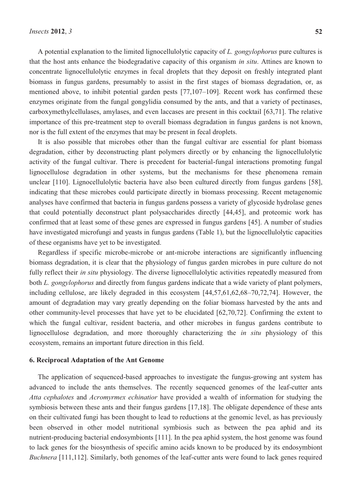A potential explanation to the limited lignocellulolytic capacity of *L. gongylophorus* pure cultures is that the host ants enhance the biodegradative capacity of this organism *in situ*. Attines are known to concentrate lignocellulolytic enzymes in fecal droplets that they deposit on freshly integrated plant biomass in fungus gardens, presumably to assist in the first stages of biomass degradation, or, as mentioned above, to inhibit potential garden pests [77,107–109]. Recent work has confirmed these enzymes originate from the fungal gongylidia consumed by the ants, and that a variety of pectinases, carboxymethylcellulases, amylases, and even laccases are present in this cocktail [63,71]. The relative importance of this pre-treatment step to overall biomass degradation in fungus gardens is not known, nor is the full extent of the enzymes that may be present in fecal droplets.

It is also possible that microbes other than the fungal cultivar are essential for plant biomass degradation, either by deconstructing plant polymers directly or by enhancing the lignocellulolytic activity of the fungal cultivar. There is precedent for bacterial-fungal interactions promoting fungal lignocellulose degradation in other systems, but the mechanisms for these phenomena remain unclear [110]. Lignocellulolytic bacteria have also been cultured directly from fungus gardens [58], indicating that these microbes could participate directly in biomass processing. Recent metagenomic analyses have confirmed that bacteria in fungus gardens possess a variety of glycoside hydrolase genes that could potentially deconstruct plant polysaccharides directly [44,45], and proteomic work has confirmed that at least some of these genes are expressed in fungus gardens [45]. A number of studies have investigated microfungi and yeasts in fungus gardens (Table 1), but the lignocellulolytic capacities of these organisms have yet to be investigated.

Regardless if specific microbe-microbe or ant-microbe interactions are significantly influencing biomass degradation, it is clear that the physiology of fungus garden microbes in pure culture do not fully reflect their *in situ* physiology. The diverse lignocellulolytic activities repeatedly measured from both *L. gongylophorus* and directly from fungus gardens indicate that a wide variety of plant polymers, including cellulose, are likely degraded in this ecosystem [44,57,61,62,68–70,72,74]. However, the amount of degradation may vary greatly depending on the foliar biomass harvested by the ants and other community-level processes that have yet to be elucidated [62,70,72]. Confirming the extent to which the fungal cultivar, resident bacteria, and other microbes in fungus gardens contribute to lignocellulose degradation, and more thoroughly characterizing the *in situ* physiology of this ecosystem, remains an important future direction in this field.

### **6. Reciprocal Adaptation of the Ant Genome**

The application of sequenced-based approaches to investigate the fungus-growing ant system has advanced to include the ants themselves. The recently sequenced genomes of the leaf-cutter ants *Atta cephalotes* and *Acromyrmex echinatior* have provided a wealth of information for studying the symbiosis between these ants and their fungus gardens [17,18]. The obligate dependence of these ants on their cultivated fungi has been thought to lead to reductions at the genomic level, as has previously been observed in other model nutritional symbiosis such as between the pea aphid and its nutrient-producing bacterial endosymbionts [111]. In the pea aphid system, the host genome was found to lack genes for the biosynthesis of specific amino acids known to be produced by its endosymbiont *Buchnera* [111,112]. Similarly, both genomes of the leaf-cutter ants were found to lack genes required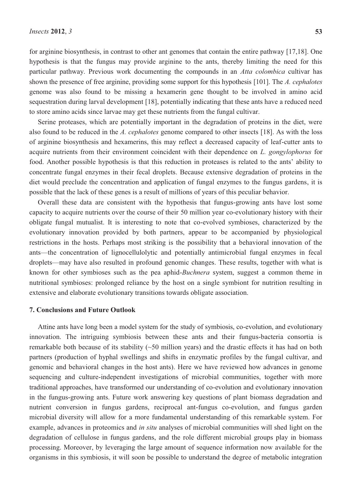for arginine biosynthesis, in contrast to other ant genomes that contain the entire pathway [17,18]. One hypothesis is that the fungus may provide arginine to the ants, thereby limiting the need for this particular pathway. Previous work documenting the compounds in an *Atta colombica* cultivar has shown the presence of free arginine, providing some support for this hypothesis [101]. The *A. cephalotes* genome was also found to be missing a hexamerin gene thought to be involved in amino acid sequestration during larval development [18], potentially indicating that these ants have a reduced need to store amino acids since larvae may get these nutrients from the fungal cultivar.

Serine proteases, which are potentially important in the degradation of proteins in the diet, were also found to be reduced in the *A. cephalotes* genome compared to other insects [18]. As with the loss of arginine biosynthesis and hexamerins, this may reflect a decreased capacity of leaf-cutter ants to acquire nutrients from their environment coincident with their dependence on *L. gongylophorus* for food. Another possible hypothesis is that this reduction in proteases is related to the ants' ability to concentrate fungal enzymes in their fecal droplets. Because extensive degradation of proteins in the diet would preclude the concentration and application of fungal enzymes to the fungus gardens, it is possible that the lack of these genes is a result of millions of years of this peculiar behavior.

Overall these data are consistent with the hypothesis that fungus-growing ants have lost some capacity to acquire nutrients over the course of their 50 million year co-evolutionary history with their obligate fungal mutualist. It is interesting to note that co-evolved symbioses, characterized by the evolutionary innovation provided by both partners, appear to be accompanied by physiological restrictions in the hosts. Perhaps most striking is the possibility that a behavioral innovation of the ants—the concentration of lignocellulolytic and potentially antimicrobial fungal enzymes in fecal droplets—may have also resulted in profound genomic changes. These results, together with what is known for other symbioses such as the pea aphid-*Buchnera* system, suggest a common theme in nutritional symbioses: prolonged reliance by the host on a single symbiont for nutrition resulting in extensive and elaborate evolutionary transitions towards obligate association.

## **7. Conclusions and Future Outlook**

Attine ants have long been a model system for the study of symbiosis, co-evolution, and evolutionary innovation. The intriguing symbiosis between these ants and their fungus-bacteria consortia is remarkable both because of its stability (~50 million years) and the drastic effects it has had on both partners (production of hyphal swellings and shifts in enzymatic profiles by the fungal cultivar, and genomic and behavioral changes in the host ants). Here we have reviewed how advances in genome sequencing and culture-independent investigations of microbial communities, together with more traditional approaches, have transformed our understanding of co-evolution and evolutionary innovation in the fungus-growing ants. Future work answering key questions of plant biomass degradation and nutrient conversion in fungus gardens, reciprocal ant-fungus co-evolution, and fungus garden microbial diversity will allow for a more fundamental understanding of this remarkable system. For example, advances in proteomics and *in situ* analyses of microbial communities will shed light on the degradation of cellulose in fungus gardens, and the role different microbial groups play in biomass processing. Moreover, by leveraging the large amount of sequence information now available for the organisms in this symbiosis, it will soon be possible to understand the degree of metabolic integration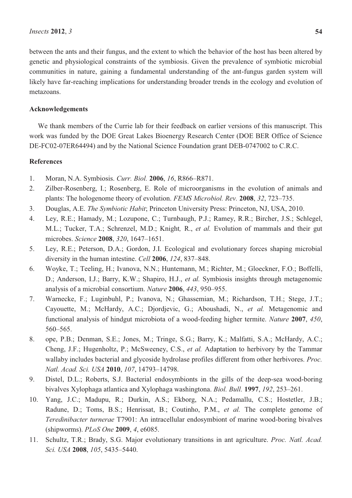between the ants and their fungus, and the extent to which the behavior of the host has been altered by genetic and physiological constraints of the symbiosis. Given the prevalence of symbiotic microbial communities in nature, gaining a fundamental understanding of the ant-fungus garden system will likely have far-reaching implications for understanding broader trends in the ecology and evolution of metazoans.

## **Acknowledgements**

We thank members of the Currie lab for their feedback on earlier versions of this manuscript. This work was funded by the DOE Great Lakes Bioenergy Research Center (DOE BER Office of Science DE-FC02-07ER64494) and by the National Science Foundation grant DEB-0747002 to C.R.C.

## **References**

- 1. Moran, N.A. Symbiosis. *Curr. Biol.* **2006**, *16*, R866–R871.
- 2. Zilber-Rosenberg, I.; Rosenberg, E. Role of microorganisms in the evolution of animals and plants: The hologenome theory of evolution. *FEMS Microbiol. Rev.* **2008**, *32*, 723–735.
- 3. Douglas, A.E. *The Symbiotic Habit*; Princeton University Press: Princeton, NJ, USA, 2010.
- 4. Ley, R.E.; Hamady, M.; Lozupone, C.; Turnbaugh, P.J.; Ramey, R.R.; Bircher, J.S.; Schlegel, M.L.; Tucker, T.A.; Schrenzel, M.D.; Knight*,* R., *et al.* Evolution of mammals and their gut microbes. *Science* **2008**, *320*, 1647–1651.
- 5. Ley, R.E.; Peterson, D.A.; Gordon, J.I. Ecological and evolutionary forces shaping microbial diversity in the human intestine. *Cell* **2006**, *124*, 837–848.
- 6. Woyke, T.; Teeling, H.; Ivanova, N.N.; Huntemann, M.; Richter, M.; Gloeckner, F.O.; Boffelli, D.; Anderson, I.J.; Barry, K.W.; Shapiro, H.J., *et al.* Symbiosis insights through metagenomic analysis of a microbial consortium. *Nature* **2006**, *443*, 950–955.
- 7. Warnecke, F.; Luginbuhl, P.; Ivanova, N.; Ghassemian, M.; Richardson, T.H.; Stege, J.T.; Cayouette, M.; McHardy, A.C.; Djordjevic, G.; Aboushadi, N., *et al.* Metagenomic and functional analysis of hindgut microbiota of a wood-feeding higher termite. *Nature* **2007**, *450*, 560–565.
- 8. ope, P.B.; Denman, S.E.; Jones, M.; Tringe, S.G.; Barry, K.; Malfatti, S.A.; McHardy, A.C.; Cheng, J.F.; Hugenholtz, P.; McSweeney, C.S., *et al.* Adaptation to herbivory by the Tammar wallaby includes bacterial and glycoside hydrolase profiles different from other herbivores. *Proc. Natl. Acad. Sci. USA* **2010**, *107*, 14793–14798.
- 9. Distel, D.L.; Roberts, S.J. Bacterial endosymbionts in the gills of the deep-sea wood-boring bivalves Xylophaga atlantica and Xylophaga washingtona. *Biol. Bull.* **1997**, *192*, 253–261.
- 10. Yang, J.C.; Madupu, R.; Durkin, A.S.; Ekborg, N.A.; Pedamallu, C.S.; Hostetler, J.B.; Radune, D.; Toms, B.S.; Henrissat, B.; Coutinho, P.M., *et al.* The complete genome of *Teredinibacter turnerae* T7901: An intracellular endosymbiont of marine wood-boring bivalves (shipworms). *PLoS One* **2009**, *4*, e6085.
- 11. Schultz, T.R.; Brady, S.G. Major evolutionary transitions in ant agriculture. *Proc. Natl. Acad. Sci. USA* **2008**, *105*, 5435–5440.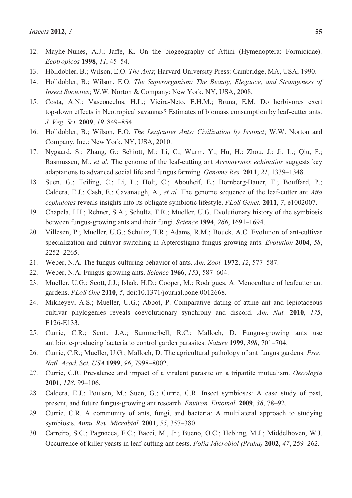- 12. Mayhe-Nunes, A.J.; Jaffe, K. On the biogeography of Attini (Hymenoptera: Formicidae). *Ecotropicos* **1998**, *11*, 45–54.
- 13. Hölldobler, B.; Wilson, E.O. *The Ants*; Harvard University Press: Cambridge, MA, USA, 1990.
- 14. Hölldobler, B.; Wilson, E.O. *The Superorganism: The Beauty, Elegance, and Strangeness of Insect Societies*; W.W. Norton & Company: New York, NY, USA, 2008.
- 15. Costa, A.N.; Vasconcelos, H.L.; Vieira-Neto, E.H.M.; Bruna, E.M. Do herbivores exert top-down effects in Neotropical savannas? Estimates of biomass consumption by leaf-cutter ants. *J. Veg. Sci.* **2009**, *19*, 849–854.
- 16. Hölldobler, B.; Wilson, E.O. *The Leafcutter Ants: Civilization by Instinct*; W.W. Norton and Company, Inc.: New York, NY, USA, 2010.
- 17. Nygaard, S.; Zhang, G.; Schiott, M.; Li, C.; Wurm, Y.; Hu, H.; Zhou, J.; Ji, L.; Qiu, F.; Rasmussen, M., *et al.* The genome of the leaf-cutting ant *Acromyrmex echinatior* suggests key adaptations to advanced social life and fungus farming. *Genome Res.* **2011**, *21*, 1339–1348.
- 18. Suen, G.; Teiling, C.; Li, L.; Holt, C.; Abouheif, E.; Bornberg-Bauer, E.; Bouffard, P.; Caldera, E.J.; Cash, E.; Cavanaugh, A., *et al.* The genome sequence of the leaf-cutter ant *Atta cephalotes* reveals insights into its obligate symbiotic lifestyle. *PLoS Genet.* **2011**, *7*, e1002007.
- 19. Chapela, I.H.; Rehner, S.A.; Schultz, T.R.; Mueller, U.G. Evolutionary history of the symbiosis between fungus-growing ants and their fungi. *Science* **1994**, *266*, 1691–1694.
- 20. Villesen, P.; Mueller, U.G.; Schultz, T.R.; Adams, R.M.; Bouck, A.C. Evolution of ant-cultivar specialization and cultivar switching in Apterostigma fungus-growing ants. *Evolution* **2004**, *58*, 2252–2265.
- 21. Weber, N.A. The fungus-culturing behavior of ants. *Am. Zool.* **1972**, *12*, 577–587.
- 22. Weber, N.A. Fungus-growing ants. *Science* **1966**, *153*, 587–604.
- 23. Mueller, U.G.; Scott, J.J.; Ishak, H.D.; Cooper, M.; Rodrigues, A. Monoculture of leafcutter ant gardens. *PLoS One* **2010**, *5*, doi:10.1371/journal.pone.0012668.
- 24. Mikheyev, A.S.; Mueller, U.G.; Abbot, P. Comparative dating of attine ant and lepiotaceous cultivar phylogenies reveals coevolutionary synchrony and discord. *Am. Nat.* **2010**, *175*, E126-E133.
- 25. Currie, C.R.; Scott, J.A.; Summerbell, R.C.; Malloch, D. Fungus-growing ants use antibiotic-producing bacteria to control garden parasites. *Nature* **1999**, *398*, 701–704.
- 26. Currie, C.R.; Mueller, U.G.; Malloch, D. The agricultural pathology of ant fungus gardens. *Proc. Natl. Acad. Sci. USA* **1999**, *96*, 7998–8002.
- 27. Currie, C.R. Prevalence and impact of a virulent parasite on a tripartite mutualism. *Oecologia* **2001**, *128*, 99–106.
- 28. Caldera, E.J.; Poulsen, M.; Suen, G.; Currie, C.R. Insect symbioses: A case study of past, present, and future fungus-growing ant research. *Environ. Entomol.* **2009**, *38*, 78–92.
- 29. Currie, C.R. A community of ants, fungi, and bacteria: A multilateral approach to studying symbiosis. *Annu. Rev. Microbiol.* **2001**, *55*, 357–380.
- 30. Carreiro, S.C.; Pagnocca, F.C.; Bacci, M., Jr.; Bueno, O.C.; Hebling, M.J.; Middelhoven, W.J. Occurrence of killer yeasts in leaf-cutting ant nests. *Folia Microbiol (Praha)* **2002**, *47*, 259–262.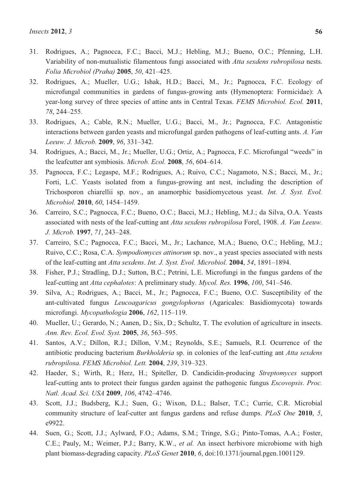- 31. Rodrigues, A.; Pagnocca, F.C.; Bacci, M.J.; Hebling, M.J.; Bueno, O.C.; Pfenning, L.H. Variability of non-mutualistic filamentous fungi associated with *Atta sexdens rubropilosa* nests. *Folia Microbiol (Praha)* **2005**, *50*, 421–425.
- 32. Rodrigues, A.; Mueller, U.G.; Ishak, H.D.; Bacci, M., Jr.; Pagnocca, F.C. Ecology of microfungal communities in gardens of fungus-growing ants (Hymenoptera: Formicidae): A year-long survey of three species of attine ants in Central Texas. *FEMS Microbiol. Ecol.* **2011**, *78*, 244–255.
- 33. Rodrigues, A.; Cable, R.N.; Mueller, U.G.; Bacci, M., Jr.; Pagnocca, F.C. Antagonistic interactions between garden yeasts and microfungal garden pathogens of leaf-cutting ants. *A. Van Leeuw. J. Microb.* **2009**, *96*, 331–342.
- 34. Rodrigues, A.; Bacci, M., Jr.; Mueller, U.G.; Ortiz, A.; Pagnocca, F.C. Microfungal "weeds" in the leafcutter ant symbiosis. *Microb. Ecol.* **2008**, *56*, 604–614.
- 35. Pagnocca, F.C.; Legaspe, M.F.; Rodrigues, A.; Ruivo, C.C.; Nagamoto, N.S.; Bacci, M., Jr.; Forti, L.C. Yeasts isolated from a fungus-growing ant nest, including the description of Trichosporon chiarellii sp. nov., an anamorphic basidiomycetous yeast. *Int. J. Syst. Evol. Microbiol.* **2010**, *60*, 1454–1459.
- 36. Carreiro, S.C.; Pagnocca, F.C.; Bueno, O.C.; Bacci, M.J.; Hebling, M.J.; da Silva, O.A. Yeasts associated with nests of the leaf-cutting ant *Atta sexdens rubropilosa* Forel, 1908. *A. Van Leeuw. J. Microb.* **1997**, *71*, 243–248.
- 37. Carreiro, S.C.; Pagnocca, F.C.; Bacci, M., Jr.; Lachance, M.A.; Bueno, O.C.; Hebling, M.J.; Ruivo, C.C.; Rosa, C.A. *Sympodiomyces attinorum* sp. nov., a yeast species associated with nests of the leaf-cutting ant *Atta sexdens*. *Int. J. Syst. Evol. Microbiol.* **2004**, *54*, 1891–1894.
- 38. Fisher, P.J.; Stradling, D.J.; Sutton, B.C.; Petrini, L.E. Microfungi in the fungus gardens of the leaf-cutting ant *Atta cephalotes*: A preliminary study. *Mycol. Res.* **1996**, *100*, 541–546.
- 39. Silva, A.; Rodrigues, A.; Bacci, M., Jr.; Pagnocca, F.C.; Bueno, O.C. Susceptibility of the ant-cultivated fungus *Leucoagaricus gongylophorus* (Agaricales: Basidiomycota) towards microfungi. *Mycopathologia* **2006**, *162*, 115–119.
- 40. Mueller, U.; Gerardo, N.; Aanen, D.; Six, D.; Schultz, T. The evolution of agriculture in insects. *Ann. Rev. Ecol. Evol. Syst.* **2005**, *36*, 563–595.
- 41. Santos, A.V.; Dillon, R.J.; Dillon, V.M.; Reynolds, S.E.; Samuels, R.I. Ocurrence of the antibiotic producing bacterium *Burkholderia* sp. in colonies of the leaf-cutting ant *Atta sexdens rubropilosa*. *FEMS Microbiol. Lett.* **2004**, *239*, 319–323.
- 42. Haeder, S.; Wirth, R.; Herz, H.; Spiteller, D. Candicidin-producing *Streptomyces* support leaf-cutting ants to protect their fungus garden against the pathogenic fungus *Escovopsis*. *Proc. Natl. Acad. Sci. USA* **2009**, *106*, 4742–4746.
- 43. Scott, J.J.; Budsberg, K.J.; Suen, G.; Wixon, D.L.; Balser, T.C.; Currie, C.R. Microbial community structure of leaf-cutter ant fungus gardens and refuse dumps. *PLoS One* **2010**, *5*, e9922.
- 44. Suen, G.; Scott, J.J.; Aylward, F.O.; Adams, S.M.; Tringe, S.G.; Pinto-Tomas, A.A.; Foster, C.E.; Pauly, M.; Weimer, P.J.; Barry, K.W., *et al.* An insect herbivore microbiome with high plant biomass-degrading capacity. *PLoS Genet* **2010**, *6*, doi:10.1371/journal.pgen.1001129.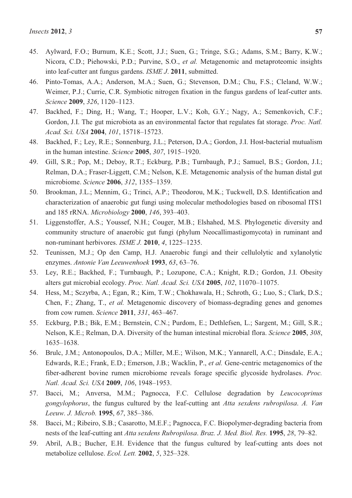- 45. Aylward, F.O.; Burnum, K.E.; Scott, J.J.; Suen, G.; Tringe, S.G.; Adams, S.M.; Barry, K.W.; Nicora, C.D.; Piehowski, P.D.; Purvine, S.O., *et al.* Metagenomic and metaproteomic insights into leaf-cutter ant fungus gardens. *ISME J*. **2011**, submitted.
- 46. Pinto-Tomas, A.A.; Anderson, M.A.; Suen, G.; Stevenson, D.M.; Chu, F.S.; Cleland, W.W.; Weimer, P.J.; Currie, C.R. Symbiotic nitrogen fixation in the fungus gardens of leaf-cutter ants. *Science* **2009**, *326*, 1120–1123.
- 47. Backhed, F.; Ding, H.; Wang, T.; Hooper, L.V.; Koh, G.Y.; Nagy, A.; Semenkovich, C.F.; Gordon, J.I. The gut microbiota as an environmental factor that regulates fat storage. *Proc. Natl. Acad. Sci. USA* **2004**, *101*, 15718–15723.
- 48. Backhed, F.; Ley, R.E.; Sonnenburg, J.L.; Peterson, D.A.; Gordon, J.I. Host-bacterial mutualism in the human intestine. *Science* **2005**, *307*, 1915–1920.
- 49. Gill, S.R.; Pop, M.; Deboy, R.T.; Eckburg, P.B.; Turnbaugh, P.J.; Samuel, B.S.; Gordon, J.I.; Relman, D.A.; Fraser-Liggett, C.M.; Nelson, K.E. Metagenomic analysis of the human distal gut microbiome. *Science* **2006**, *312*, 1355–1359.
- 50. Brookman, J.L.; Mennim, G.; Trinci, A.P.; Theodorou, M.K.; Tuckwell, D.S. Identification and characterization of anaerobic gut fungi using molecular methodologies based on ribosomal ITS1 and 185 rRNA. *Microbiology* **2000**, *146*, 393–403.
- 51. Liggenstoffer, A.S.; Youssef, N.H.; Couger, M.B.; Elshahed, M.S. Phylogenetic diversity and community structure of anaerobic gut fungi (phylum Neocallimastigomycota) in ruminant and non-ruminant herbivores. *ISME J.* **2010**, *4*, 1225–1235.
- 52. Teunissen, M.J.; Op den Camp, H.J. Anaerobic fungi and their cellulolytic and xylanolytic enzymes. *Antonie Van Leeuwenhoek* **1993**, *63*, 63–76.
- 53. Ley, R.E.; Backhed, F.; Turnbaugh, P.; Lozupone, C.A.; Knight, R.D.; Gordon, J.I. Obesity alters gut microbial ecology. *Proc. Natl. Acad. Sci. USA* **2005**, *102*, 11070–11075.
- 54. Hess, M.; Sczyrba, A.; Egan, R.; Kim, T.W.; Chokhawala, H.; Schroth, G.; Luo, S.; Clark, D.S.; Chen, F.; Zhang, T., *et al.* Metagenomic discovery of biomass-degrading genes and genomes from cow rumen. *Science* **2011**, *331*, 463–467.
- 55. Eckburg, P.B.; Bik, E.M.; Bernstein, C.N.; Purdom, E.; Dethlefsen, L.; Sargent, M.; Gill, S.R.; Nelson, K.E.; Relman, D.A. Diversity of the human intestinal microbial flora. *Science* **2005**, *308*, 1635–1638.
- 56. Brulc, J.M.; Antonopoulos, D.A.; Miller, M.E.; Wilson, M.K.; Yannarell, A.C.; Dinsdale, E.A.; Edwards, R.E.; Frank, E.D.; Emerson, J.B.; Wacklin, P., *et al.* Gene-centric metagenomics of the fiber-adherent bovine rumen microbiome reveals forage specific glycoside hydrolases. *Proc. Natl. Acad. Sci. USA* **2009**, *106*, 1948–1953.
- 57. Bacci, M.; Anversa, M.M.; Pagnocca, F.C. Cellulose degradation by *Leucocoprinus gongylophorus*, the fungus cultured by the leaf-cutting ant *Atta sexdens rubropilosa*. *A. Van Leeuw. J. Microb.* **1995**, *67*, 385–386.
- 58. Bacci, M.; Ribeiro, S.B.; Casarotto, M.E.F.; Pagnocca, F.C. Biopolymer-degrading bacteria from nests of the leaf-cutting ant *Atta sexdens Rubropilosa*. *Braz. J. Med. Biol. Res.* **1995**, *28*, 79–82.
- 59. Abril, A.B.; Bucher, E.H. Evidence that the fungus cultured by leaf-cutting ants does not metabolize cellulose. *Ecol. Lett.* **2002**, *5*, 325–328.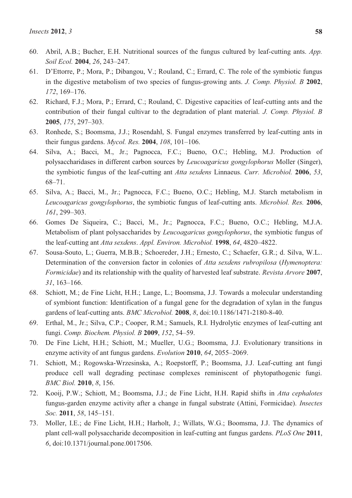- 60. Abril, A.B.; Bucher, E.H. Nutritional sources of the fungus cultured by leaf-cutting ants. *App. Soil Ecol.* **2004**, *26*, 243–247.
- 61. D'Ettorre, P.; Mora, P.; Dibangou, V.; Rouland, C.; Errard, C. The role of the symbiotic fungus in the digestive metabolism of two species of fungus-growing ants. *J. Comp. Physiol. B* **2002**, *172*, 169–176.
- 62. Richard, F.J.; Mora, P.; Errard, C.; Rouland, C. Digestive capacities of leaf-cutting ants and the contribution of their fungal cultivar to the degradation of plant material. *J. Comp. Physiol. B* **2005**, *175*, 297–303.
- 63. Ronhede, S.; Boomsma, J.J.; Rosendahl, S. Fungal enzymes transferred by leaf-cutting ants in their fungus gardens. *Mycol. Res.* **2004**, *108*, 101–106.
- 64. Silva, A.; Bacci, M., Jr.; Pagnocca, F.C.; Bueno, O.C.; Hebling, M.J. Production of polysaccharidases in different carbon sources by *Leucoagaricus gongylophorus* Moller (Singer), the symbiotic fungus of the leaf-cutting ant *Atta sexdens* Linnaeus. *Curr. Microbiol.* **2006**, *53*, 68–71.
- 65. Silva, A.; Bacci, M., Jr.; Pagnocca, F.C.; Bueno, O.C.; Hebling, M.J. Starch metabolism in *Leucoagaricus gongylophorus*, the symbiotic fungus of leaf-cutting ants. *Microbiol. Res.* **2006**, *161*, 299–303.
- 66. Gomes De Siqueira, C.; Bacci, M., Jr.; Pagnocca, F.C.; Bueno, O.C.; Hebling, M.J.A. Metabolism of plant polysaccharides by *Leucoagaricus gongylophorus*, the symbiotic fungus of the leaf-cutting ant *Atta sexdens*. *Appl. Environ. Microbiol.* **1998**, *64*, 4820–4822.
- 67. Sousa-Souto, L.; Guerra, M.B.B.; Schoereder, J.H.; Ernesto, C.; Schaefer, G.R.; d. Silva, W.L.. Determination of the conversion factor in colonies of *Atta sexdens rubropilosa* (*Hymenoptera: Formicidae*) and its relationship with the quality of harvested leaf substrate. *Revista Arvore* **2007**, *31*, 163–166.
- 68. Schiott, M.; de Fine Licht, H.H.; Lange, L.; Boomsma, J.J. Towards a molecular understanding of symbiont function: Identification of a fungal gene for the degradation of xylan in the fungus gardens of leaf-cutting ants. *BMC Microbiol.* **2008**, *8*, doi:10.1186/1471-2180-8-40.
- 69. Erthal, M., Jr.; Silva, C.P.; Cooper, R.M.; Samuels, R.I. Hydrolytic enzymes of leaf-cutting ant fungi. *Comp. Biochem. Physiol. B* **2009**, *152*, 54–59.
- 70. De Fine Licht, H.H.; Schiott, M.; Mueller, U.G.; Boomsma, J.J. Evolutionary transitions in enzyme activity of ant fungus gardens. *Evolution* **2010**, *64*, 2055–2069.
- 71. Schiott, M.; Rogowska-Wrzesinska, A.; Roepstorff, P.; Boomsma, J.J. Leaf-cutting ant fungi produce cell wall degrading pectinase complexes reminiscent of phytopathogenic fungi. *BMC Biol.* **2010**, *8*, 156.
- 72. Kooij, P.W.; Schiott, M.; Boomsma, J.J.; de Fine Licht, H.H. Rapid shifts in *Atta cephalotes* fungus-garden enzyme activity after a change in fungal substrate (Attini, Formicidae). *Insectes Soc.* **2011**, *58*, 145–151.
- 73. Moller, I.E.; de Fine Licht, H.H.; Harholt, J.; Willats, W.G.; Boomsma, J.J. The dynamics of plant cell-wall polysaccharide decomposition in leaf-cutting ant fungus gardens. *PLoS One* **2011**, *6*, doi:10.1371/journal.pone.0017506.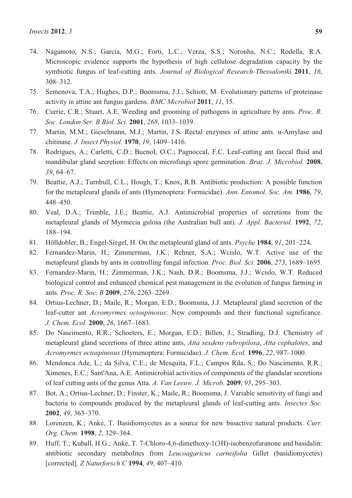- 74. Nagamoto, N.S.; Garcia, M.G.; Forti, L.C.; Verza, S.S.; Noronha, N.C.; Rodella, R.A. Microscopic evidence supports the hypothesis of high cellulose degradation capacity by the symbiotic fungus of leaf-cutting ants. *Journal of Biological Research-Thessaloniki* **2011**, *16*, 308–312.
- 75. Semenova, T.A.; Hughes, D.P.; Boomsma, J.J.; Schiott, M. Evolutionary patterns of proteinase activity in attine ant fungus gardens. *BMC Microbiol* **2011**, *11*, 15.
- 76. Currie, C.R.; Stuart, A.E. Weeding and grooming of pathogens in agriculture by ants. *Proc. R. Soc. London Ser. B Biol. Sci.* **2001**, *268*, 1033–1039.
- 77. Martin, M.M.; Gieselmann, M.J.; Martin, J.S. Rectal enzymes of attine ants. α-Amylase and chitinase. *J. Insect Physiol.* **1970**, *19*, 1409–1416.
- 78. Rodrigues, A.; Carletti, C.D.; BuenoI, O.C.; PagnoccaI, F.C. Leaf-cutting ant faecal fluid and mandibular gland secretion: Effects on microfungi spore germination. *Braz. J. Microbiol.* **2008**, *39*, 64–67.
- 79. Beattie, A.J.; Turnbull, C.L.; Hough, T.; Knox, R.B. Antibiotic production: A possible function for the metapleural glands of ants (Hymenoptera: Formicidae). *Ann. Entomol. Soc. Am.* **1986**, *79*, 448–450.
- 80. Veal, D.A.; Trimble, J.E.; Beattie, A.J. Antimicrobial properties of secretions from the metapleural glands of Myrmecia gulosa (the Australian bull ant). *J. Appl. Bacteriol.* **1992**, *72*, 188–194.
- 81. Hölldobler, B.; Engel-Siegel, H. On the metapleural gland of ants. *Psyche* **1984**, *91*, 201–224.
- 82. Fernandez-Marin, H.; Zimmerman, J.K.; Rehner, S.A.; Wcislo, W.T. Active use of the metapleural glands by ants in controlling fungal infection. *Proc. Biol. Sci.* **2006**, *273*, 1689–1695.
- 83. Fernandez-Marin, H.; Zimmerman, J.K.; Nash, D.R.; Boomsma, J.J.; Wcislo, W.T. Reduced biological control and enhanced chemical pest management in the evolution of fungus farming in ants. *Proc. R. Soc. B* **2009**, *276*, 2263–2269.
- 84. Ortius-Lechner, D.; Maile, R.; Morgan, E.D.; Boomsma, J.J. Metapleural gland secretion of the leaf-cutter ant *Acromyrmex octospinosus*: New compounds and their functional significance. *J. Chem. Ecol.* **2000**, *26*, 1667–1683.
- 85. Do Nascimento, R.R.; Schoeters, E.; Morgan, E.D.; Billen, J.; Stradling, D.J. Chemistry of metapleural gland secretions of three attine ants, *Atta sexdens rubropilosa*, *Atta cephalotes*, and *Acromyrmex octospinosus* (Hymenoptera: Formicidae). *J. Chem. Ecol.* **1996**, *22*, 987–1000.
- 86. Mendonca Ade, L.; da Silva, C.E.; de Mesquita, F.L.; Campos Rda, S.; Do Nascimento, R.R.; Ximenes, E.C.; Sant'Ana, A.E. Antimicrobial activities of components of the glandular secretions of leaf cutting ants of the genus Atta. *A. Van Leeuw. J. Microb.* **2009**, *95*, 295–303.
- 87. Bot, A.; Ortius-Lechner, D.; Finster, K.; Maile, R.; Boomsma, J. Variable sensitivity of fungi and bacteria to compounds produced by the metapleural glands of leaf-cutting ants. *Insectes Soc.* **2002**, *49*, 363–370.
- 88. Lorenzen, K.; Anke, T. Basidiomycetes as a source for new bioactive natural products. *Curr. Org. Chem.* **1998**, *2*, 329–364.
- 89. Huff, T.; Kuball, H.G.; Anke, T. 7-Chloro-4,6-dimethoxy-1(3H)-isobenzofuranone and basidalin: antibiotic secondary metabolites from *Leucoagaricus carneifolia* Gillet (basidiomycetes) [corrected]. *Z Naturforsch C* **1994**, *49*, 407–410.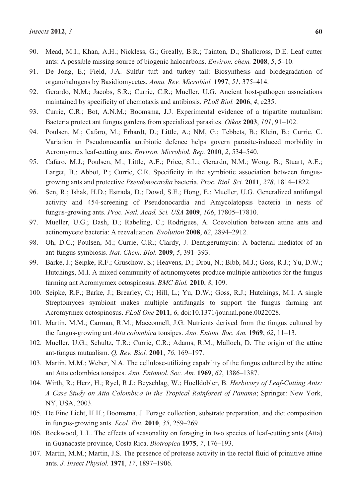- 91. De Jong, E.; Field, J.A. Sulfur tuft and turkey tail: Biosynthesis and biodegradation of organohalogens by Basidiomycetes. *Annu. Rev. Microbiol.* **1997**, *51*, 375–414.
- 92. Gerardo, N.M.; Jacobs, S.R.; Currie, C.R.; Mueller, U.G. Ancient host-pathogen associations maintained by specificity of chemotaxis and antibiosis. *PLoS Biol.* **2006**, *4*, e235.
- 93. Currie, C.R.; Bot, A.N.M.; Boomsma, J.J. Experimental evidence of a tripartite mutualism: Bacteria protect ant fungus gardens from specialized parasites. *Oikos* **2003**, *101*, 91–102.
- 94. Poulsen, M.; Cafaro, M.; Erhardt, D.; Little, A.; NM, G.; Tebbets, B.; Klein, B.; Currie, C. Variation in Pseudonocardia antibiotic defence helps govern parasite-induced morbidity in Acromyrmex leaf-cutting ants. *Environ. Microbiol. Rep.* **2010**, *2*, 534–540.
- 95. Cafaro, M.J.; Poulsen, M.; Little, A.E.; Price, S.L.; Gerardo, N.M.; Wong, B.; Stuart, A.E.; Larget, B.; Abbot, P.; Currie, C.R. Specificity in the symbiotic association between fungusgrowing ants and protective *Pseudonocardia* bacteria. *Proc. Biol. Sci.* **2011**, *278*, 1814–1822.
- 96. Sen, R.; Ishak, H.D.; Estrada, D.; Dowd, S.E.; Hong, E.; Mueller, U.G. Generalized antifungal activity and 454-screening of Pseudonocardia and Amycolatopsis bacteria in nests of fungus-growing ants. *Proc. Natl. Acad. Sci. USA* **2009**, *106*, 17805–17810.
- 97. Mueller, U.G.; Dash, D.; Rabeling, C.; Rodrigues, A. Coevolution between attine ants and actinomycete bacteria: A reevaluation. *Evolution* **2008**, *62*, 2894–2912.
- 98. Oh, D.C.; Poulsen, M.; Currie, C.R.; Clardy, J. Dentigerumycin: A bacterial mediator of an ant-fungus symbiosis. *Nat. Chem. Biol.* **2009**, *5*, 391–393.
- 99. Barke, J.; Seipke, R.F.; Gruschow, S.; Heavens, D.; Drou, N.; Bibb, M.J.; Goss, R.J.; Yu, D.W.; Hutchings, M.I. A mixed community of actinomycetes produce multiple antibiotics for the fungus farming ant Acromyrmex octospinosus. *BMC Biol.* **2010**, *8*, 109.
- 100. Seipke, R.F.; Barke, J.; Brearley, C.; Hill, L.; Yu, D.W.; Goss, R.J.; Hutchings, M.I. A single Streptomyces symbiont makes multiple antifungals to support the fungus farming ant Acromyrmex octospinosus. *PLoS One* **2011**, *6*, doi:10.1371/journal.pone.0022028.
- 101. Martin, M.M.; Carman, R.M.; Macconnell, J.G. Nutrients derived from the fungus cultured by the fungus-growing ant *Atta colombica* tonsipes. *Ann. Entom. Soc. Am.* **1969**, *62*, 11–13.
- 102. Mueller, U.G.; Schultz, T.R.; Currie, C.R.; Adams, R.M.; Malloch, D. The origin of the attine ant-fungus mutualism. *Q. Rev. Biol.* **2001**, *76*, 169–197.
- 103. Martin, M.M.; Weber, N.A. The cellulose-utilizing capability of the fungus cultured by the attine ant Atta colombica tonsipes. *Ann. Entomol. Soc. Am.* **1969**, *62*, 1386–1387.
- 104. Wirth, R.; Herz, H.; Ryel, R.J.; Beyschlag, W.; Hoelldobler, B. *Herbivory of Leaf-Cutting Ants: A Case Study on Atta Colombica in the Tropical Rainforest of Panama*; Springer: New York, NY, USA, 2003.
- 105. De Fine Licht, H.H.; Boomsma, J. Forage collection, substrate preparation, and diet composition in fungus-growing ants. *Ecol. Ent.* **2010**, *35*, 259–269
- 106. Rockwood, L.L. The effects of seasonality on foraging in two species of leaf-cutting ants (Atta) in Guanacaste province, Costa Rica. *Biotropica* **1975**, *7*, 176–193.
- 107. Martin, M.M.; Martin, J.S. The presence of protease activity in the rectal fluid of primitive attine ants. *J. Insect Physiol.* **1971**, *17*, 1897–1906.